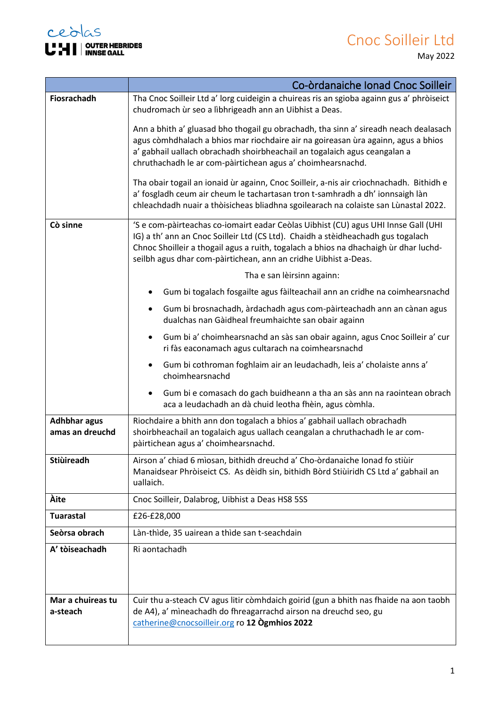## Cnoc Soilleir Ltd May 2022



÷

F

|                                        | Co-òrdanaiche Ionad Cnoc Soilleir                                                                                                                                                                                                                                                                                                 |
|----------------------------------------|-----------------------------------------------------------------------------------------------------------------------------------------------------------------------------------------------------------------------------------------------------------------------------------------------------------------------------------|
| Fiosrachadh                            | Tha Cnoc Soilleir Ltd a' lorg cuideigin a chuireas ris an sgioba againn gus a' phròiseict<br>chudromach ùr seo a lìbhrigeadh ann an Uibhist a Deas.                                                                                                                                                                               |
|                                        | Ann a bhith a' gluasad bho thogail gu obrachadh, tha sinn a' sireadh neach dealasach<br>agus còmhdhalach a bhios mar riochdaire air na goireasan ùra againn, agus a bhios<br>a' gabhail uallach obrachadh shoirbheachail an togalaich agus ceangalan a<br>chruthachadh le ar com-pàirtichean agus a' choimhearsnachd.             |
|                                        | Tha obair togail an ionaid ùr againn, Cnoc Soilleir, a-nis air crìochnachadh. Bithidh e<br>a' fosgladh ceum air cheum le tachartasan tron t-samhradh a dh' ionnsaigh làn<br>chleachdadh nuair a thòisicheas bliadhna sgoilearach na colaiste san Lùnastal 2022.                                                                   |
| Cò sinne                               | 'S e com-pàirteachas co-iomairt eadar Ceòlas Uibhist (CU) agus UHI Innse Gall (UHI<br>IG) a th' ann an Cnoc Soilleir Ltd (CS Ltd). Chaidh a stèidheachadh gus togalach<br>Chnoc Shoilleir a thogail agus a ruith, togalach a bhios na dhachaigh ùr dhar luchd-<br>seilbh agus dhar com-pàirtichean, ann an cridhe Uibhist a-Deas. |
|                                        | Tha e san lèirsinn againn:                                                                                                                                                                                                                                                                                                        |
|                                        | Gum bi togalach fosgailte agus fàilteachail ann an cridhe na coimhearsnachd                                                                                                                                                                                                                                                       |
|                                        | Gum bi brosnachadh, àrdachadh agus com-pàirteachadh ann an cànan agus<br>dualchas nan Gàidheal freumhaichte san obair againn                                                                                                                                                                                                      |
|                                        | Gum bi a' choimhearsnachd an sàs san obair againn, agus Cnoc Soilleir a' cur<br>ri fàs eaconamach agus cultarach na coimhearsnachd                                                                                                                                                                                                |
|                                        | Gum bi cothroman foghlaim air an leudachadh, leis a' cholaiste anns a'<br>choimhearsnachd                                                                                                                                                                                                                                         |
|                                        | Gum bi e comasach do gach buidheann a tha an sàs ann na raointean obrach<br>٠<br>aca a leudachadh an dà chuid leotha fhèin, agus còmhla.                                                                                                                                                                                          |
| <b>Adhbhar agus</b><br>amas an dreuchd | Riochdaire a bhith ann don togalach a bhios a' gabhail uallach obrachadh<br>shoirbheachail an togalaich agus uallach ceangalan a chruthachadh le ar com-<br>pàirtichean agus a' choimhearsnachd.                                                                                                                                  |
| Stiùireadh                             | Airson a' chiad 6 mìosan, bithidh dreuchd a' Cho-òrdanaiche Ionad fo stiùir<br>Manaidsear Phròiseict CS. As dèidh sin, bithidh Bòrd Stiùiridh CS Ltd a' gabhail an<br>uallaich.                                                                                                                                                   |
| Àite                                   | Cnoc Soilleir, Dalabrog, Uibhist a Deas HS8 5SS                                                                                                                                                                                                                                                                                   |
| <b>Tuarastal</b>                       | £26-£28,000                                                                                                                                                                                                                                                                                                                       |
| Seòrsa obrach                          | Làn-thìde, 35 uairean a thìde san t-seachdain                                                                                                                                                                                                                                                                                     |
| A' tòiseachadh                         | Ri aontachadh                                                                                                                                                                                                                                                                                                                     |
|                                        |                                                                                                                                                                                                                                                                                                                                   |
| Mar a chuireas tu<br>a-steach          | Cuir thu a-steach CV agus litir còmhdaich goirid (gun a bhith nas fhaide na aon taobh<br>de A4), a' mìneachadh do fhreagarrachd airson na dreuchd seo, gu<br>catherine@cnocsoilleir.org ro 12 Ogmhios 2022                                                                                                                        |